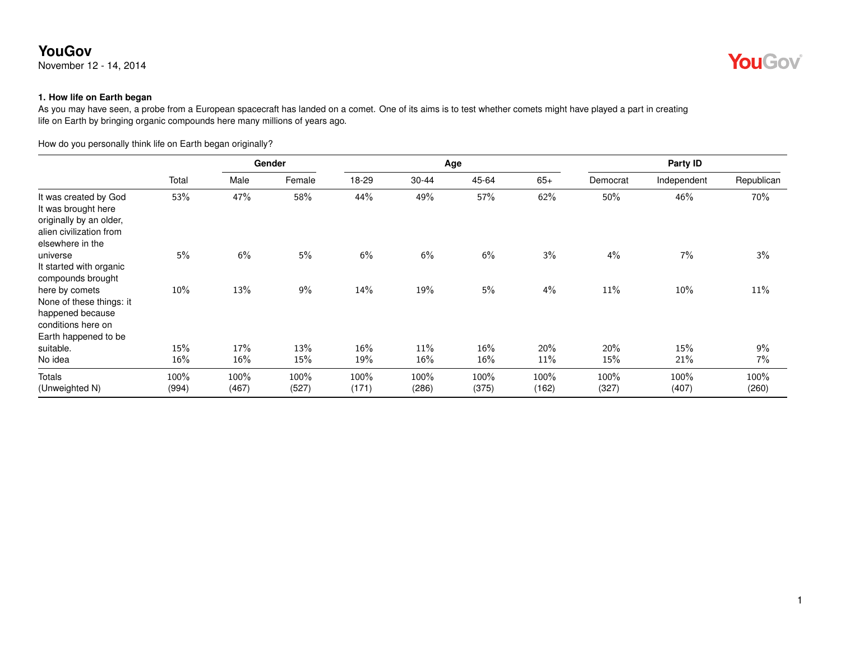November 12 - 14, 2014

**YouGov** 

#### **1. How life on Earth began**

As you may have seen, a probe from a European spacecraft has landed on a comet. One of its aims is to test whether comets might have played a part in creating life on Earth by bringing organic compounds here many millions of years ago.

How do you personally think life on Earth began originally?

|                                                                                                                        |               |               | Gender        |               |               | Age           |               | Party ID      |               |               |  |  |
|------------------------------------------------------------------------------------------------------------------------|---------------|---------------|---------------|---------------|---------------|---------------|---------------|---------------|---------------|---------------|--|--|
|                                                                                                                        | Total         | Male          | Female        | 18-29         | 30-44         | 45-64         | $65+$         | Democrat      | Independent   | Republican    |  |  |
| It was created by God<br>It was brought here<br>originally by an older,<br>alien civilization from<br>elsewhere in the | 53%           | 47%           | 58%           | 44%           | 49%           | 57%           | 62%           | 50%           | 46%           | 70%           |  |  |
| universe<br>It started with organic<br>compounds brought                                                               | 5%            | 6%            | 5%            | 6%            | 6%            | 6%            | 3%            | 4%            | 7%            | 3%            |  |  |
| here by comets<br>None of these things: it<br>happened because<br>conditions here on<br>Earth happened to be           | 10%           | 13%           | $9\%$         | 14%           | 19%           | 5%            | 4%            | 11%           | 10%           | 11%           |  |  |
| suitable.                                                                                                              | 15%           | 17%           | 13%           | 16%           | 11%           | 16%           | 20%           | 20%           | 15%           | 9%            |  |  |
| No idea                                                                                                                | 16%           | $16\%$        | 15%           | 19%           | $16\%$        | 16%           | 11%           | 15%           | 21%           | 7%            |  |  |
| <b>Totals</b><br>(Unweighted N)                                                                                        | 100%<br>(994) | 100%<br>(467) | 100%<br>(527) | 100%<br>(171) | 100%<br>(286) | 100%<br>(375) | 100%<br>(162) | 100%<br>(327) | 100%<br>(407) | 100%<br>(260) |  |  |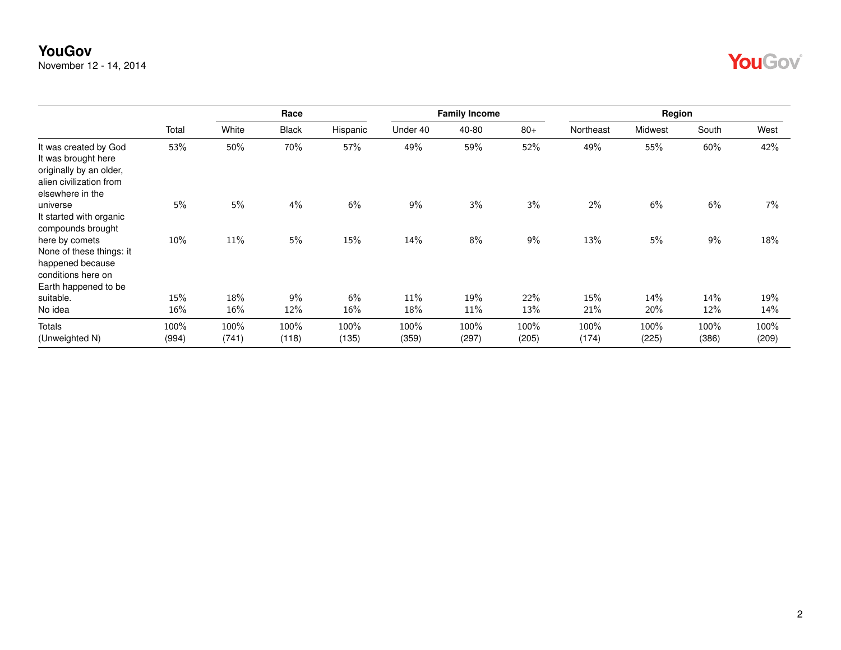November 12 - 14, 2014

| OH |  |
|----|--|
|----|--|

|                                                                                                                        |               |               | Race          |               |               | <b>Family Income</b> |               |               | Region        |               |               |
|------------------------------------------------------------------------------------------------------------------------|---------------|---------------|---------------|---------------|---------------|----------------------|---------------|---------------|---------------|---------------|---------------|
|                                                                                                                        | Total         | White         | <b>Black</b>  | Hispanic      | Under 40      | 40-80                | $80+$         | Northeast     | Midwest       | South         | West          |
| It was created by God<br>It was brought here<br>originally by an older,<br>alien civilization from<br>elsewhere in the | 53%           | 50%           | 70%           | 57%           | 49%           | 59%                  | 52%           | 49%           | 55%           | 60%           | 42%           |
| universe<br>It started with organic<br>compounds brought                                                               | 5%            | 5%            | 4%            | 6%            | 9%            | 3%                   | 3%            | 2%            | 6%            | 6%            | 7%            |
| here by comets<br>None of these things: it<br>happened because<br>conditions here on<br>Earth happened to be           | 10%           | $11\%$        | 5%            | 15%           | 14%           | 8%                   | 9%            | 13%           | 5%            | 9%            | 18%           |
| suitable.                                                                                                              | 15%           | 18%           | 9%            | 6%            | 11%           | 19%                  | 22%           | 15%           | 14%           | 14%           | 19%           |
| No idea                                                                                                                | 16%           | 16%           | 12%           | 16%           | 18%           | 11%                  | 13%           | 21%           | 20%           | 12%           | 14%           |
| Totals<br>(Unweighted N)                                                                                               | 100%<br>(994) | 100%<br>(741) | 100%<br>(118) | 100%<br>(135) | 100%<br>(359) | 100%<br>(297)        | 100%<br>(205) | 100%<br>(174) | 100%<br>(225) | 100%<br>(386) | 100%<br>(209) |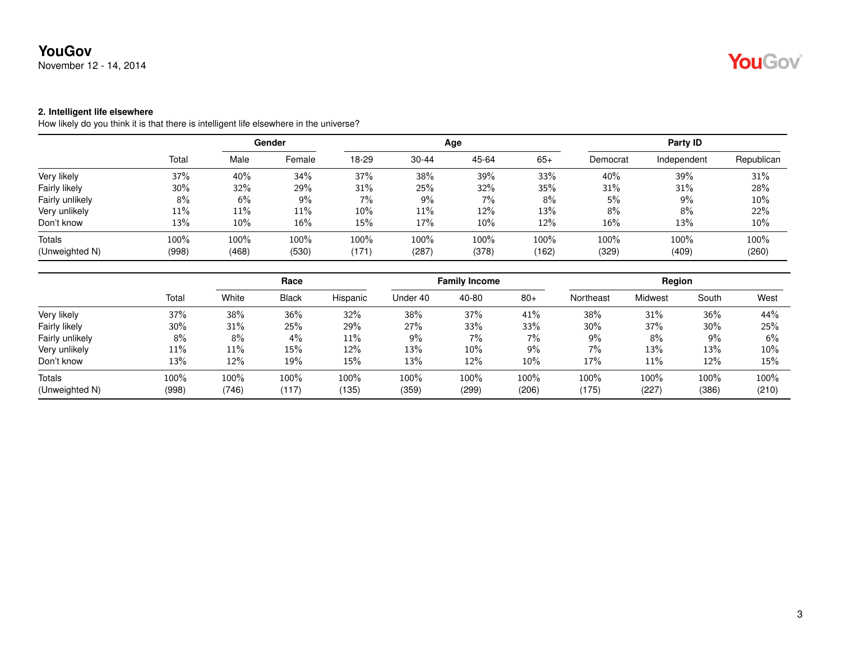November 12 - 14, 2014

# YouGov®

#### **2. Intelligent life elsewhere**

How likely do you think it is that there is intelligent life elsewhere in the universe?

|                 |        | Gender |        |       |           | Age   | Party ID |          |             |            |
|-----------------|--------|--------|--------|-------|-----------|-------|----------|----------|-------------|------------|
|                 | Total  | Male   | Female | 18-29 | $30 - 44$ | 45-64 | $65+$    | Democrat | Independent | Republican |
| Very likely     | 37%    | 40%    | 34%    | 37%   | 38%       | 39%   | 33%      | 40%      | 39%         | 31%        |
| Fairly likely   | 30%    | 32%    | 29%    | 31%   | 25%       | 32%   | 35%      | 31%      | 31%         | 28%        |
| Fairly unlikely | 8%     | 6%     | 9%     | 7%    | 9%        | $7\%$ | 8%       | 5%       | 9%          | 10%        |
| Very unlikely   | $11\%$ | 11%    | 11%    | 10%   | 11%       | 12%   | 13%      | 8%       | 8%          | 22%        |
| Don't know      | 13%    | 10%    | 16%    | 15%   | 17%       | 10%   | 12%      | 16%      | 13%         | 10%        |
| Totals          | 100%   | 100%   | 100%   | 100%  | 100%      | 100%  | 100%     | 100%     | 100%        | 100%       |
| (Unweighted N)  | (998)  | (468)  | (530)  | (171) | (287)     | (378) | (162)    | (329)    | (409)       | (260)      |

|                          |               |               | Race          |               |               | <b>Family Income</b> |               |               | Region        |               |               |  |
|--------------------------|---------------|---------------|---------------|---------------|---------------|----------------------|---------------|---------------|---------------|---------------|---------------|--|
|                          | Total         | White         | <b>Black</b>  | Hispanic      | Under 40      | 40-80                | $80+$         | Northeast     | Midwest       | South         | West          |  |
| Very likely              | 37%           | 38%           | 36%           | 32%           | 38%           | 37%                  | 41%           | 38%           | 31%           | 36%           | 44%           |  |
| Fairly likely            | 30%           | 31%           | 25%           | 29%           | 27%           | 33%                  | 33%           | $30\%$        | 37%           | 30%           | 25%           |  |
| Fairly unlikely          | 8%            | 8%            | 4%            | 11%           | $9\%$         | $7\%$                | 7%            | 9%            | 8%            | $9\%$         | 6%            |  |
| Very unlikely            | 11%           | 11%           | 15%           | 12%           | 13%           | $10\%$               | 9%            | $7\%$         | 13%           | 13%           | $10\%$        |  |
| Don't know               | 13%           | 12%           | 19%           | 15%           | 13%           | 12%                  | $10\%$        | 17%           | 11%           | 12%           | 15%           |  |
| Totals<br>(Unweighted N) | 100%<br>(998) | 100%<br>(746) | 100%<br>(117) | 100%<br>(135) | 100%<br>(359) | 100%<br>(299)        | 100%<br>(206) | 100%<br>(175) | 100%<br>(227) | 100%<br>(386) | 100%<br>(210) |  |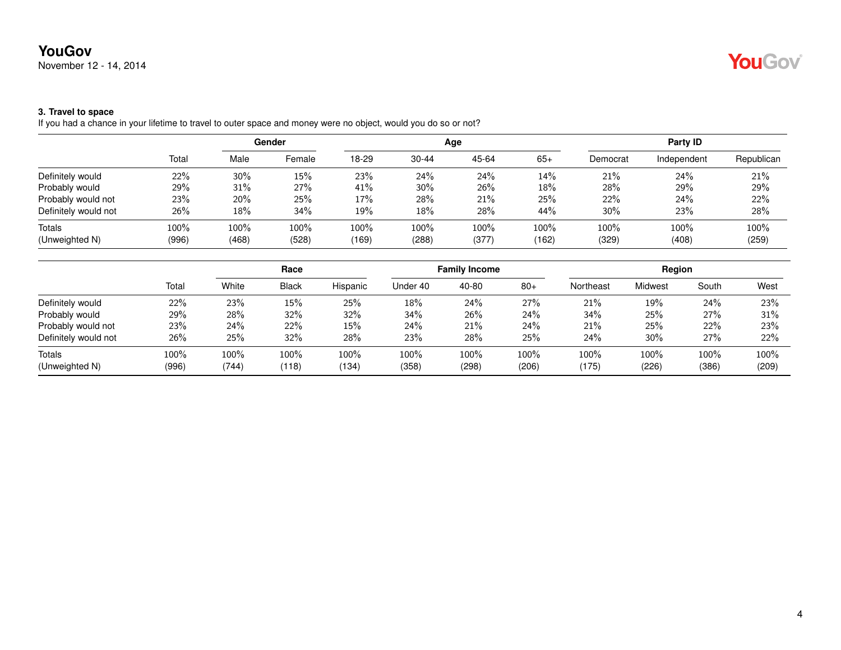November 12 - 14, 2014

# YouGov®

#### **3. Travel to space**

If you had a chance in your lifetime to travel to outer space and money were no object, would you do so or not?

|       | Gender |        |       |           |       | Party ID     |          |             |               |
|-------|--------|--------|-------|-----------|-------|--------------|----------|-------------|---------------|
| Total | Male   | Female | 18-29 | $30 - 44$ | 45-64 | $65+$        | Democrat | Independent | Republican    |
| 22%   | 30%    | 15%    | 23%   | 24%       | 24%   | 14%          | 21%      | 24%         | 21%           |
| 29%   | 31%    | 27%    | 41%   | $30\%$    | 26%   | 18%          | 28%      | 29%         | 29%           |
| 23%   | 20%    | 25%    | 17%   | 28%       | 21%   | 25%          | 22%      | 24%         | 22%           |
| 26%   | 18%    | 34%    | 19%   | 18%       | 28%   | 44%          | $30\%$   | 23%         | 28%           |
| 100%  | 100%   | 100%   | 100%  | 100%      | 100%  | 100%         | 100%     | 100%        | 100%<br>(259) |
|       | (996)  | (468)  | (528) | (169)     | (288) | Age<br>(377) | (162)    | (329)       | (408)         |

|                      |       | Race  |              |          | <b>Family Income</b> |       |         | Region    |                |       |       |
|----------------------|-------|-------|--------------|----------|----------------------|-------|---------|-----------|----------------|-------|-------|
|                      | Total | White | <b>Black</b> | Hispanic | Under 40             | 40-80 | $80+$   | Northeast | <b>Midwest</b> | South | West  |
| Definitely would     | 22%   | 23%   | 15%          | 25%      | 18%                  | 24%   | 27%     | 21%       | 19%            | 24%   | 23%   |
| Probably would       | 29%   | 28%   | 32%          | 32%      | 34%                  | 26%   | 24%     | 34%       | 25%            | 27%   | 31%   |
| Probably would not   | 23%   | 24%   | 22%          | 15%      | 24%                  | 21%   | 24%     | 21%       | 25%            | 22%   | 23%   |
| Definitely would not | 26%   | 25%   | 32%          | 28%      | 23%                  | 28%   | 25%     | 24%       | 30%            | 27%   | 22%   |
| <b>Totals</b>        | 100%  | 100%  | 100%         | $100\%$  | 100%                 | 100%  | $100\%$ | 100%      | 100%           | 100%  | 100%  |
| (Unweighted N)       | (996) | (744) | (118)        | 134      | (358)                | (298) | (206)   | (175)     | (226)          | (386) | (209) |